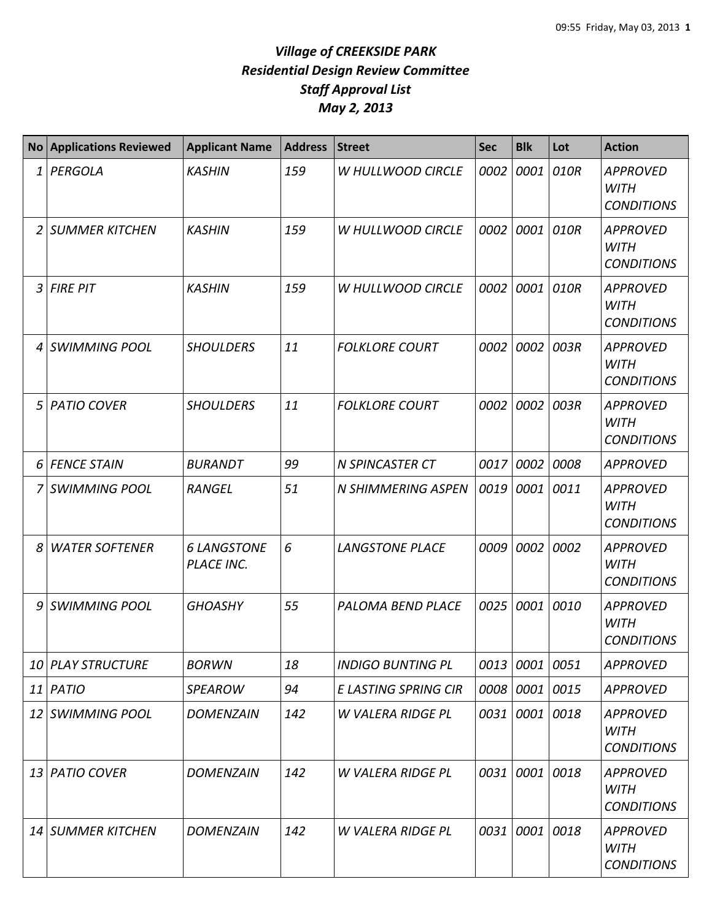|                | <b>No Applications Reviewed</b> | <b>Applicant Name</b>                   | <b>Address</b> | <b>Street</b>               | <b>Sec</b> | <b>Blk</b>     | Lot       | <b>Action</b>                                       |
|----------------|---------------------------------|-----------------------------------------|----------------|-----------------------------|------------|----------------|-----------|-----------------------------------------------------|
| 1              | PERGOLA                         | <b>KASHIN</b>                           | 159            | <b>W HULLWOOD CIRCLE</b>    | 0002       |                | 0001 010R | <b>APPROVED</b><br><b>WITH</b><br><b>CONDITIONS</b> |
| $\overline{2}$ | <b>SUMMER KITCHEN</b>           | <b>KASHIN</b>                           | 159            | W HULLWOOD CIRCLE           | 0002       | 0001 010R      |           | <b>APPROVED</b><br><b>WITH</b><br><b>CONDITIONS</b> |
| 3              | <b>FIRE PIT</b>                 | <b>KASHIN</b>                           | 159            | W HULLWOOD CIRCLE           | 0002       | 0001           | 010R      | <b>APPROVED</b><br><b>WITH</b><br><b>CONDITIONS</b> |
| 4              | <b>SWIMMING POOL</b>            | <b>SHOULDERS</b>                        | 11             | <b>FOLKLORE COURT</b>       | 0002       | 0002           | 003R      | <b>APPROVED</b><br><b>WITH</b><br><b>CONDITIONS</b> |
| 5              | <b>PATIO COVER</b>              | <b>SHOULDERS</b>                        | 11             | <b>FOLKLORE COURT</b>       | 0002       | 0002           | 003R      | <b>APPROVED</b><br><b>WITH</b><br><b>CONDITIONS</b> |
| 6              | <b>FENCE STAIN</b>              | <b>BURANDT</b>                          | 99             | <b>N SPINCASTER CT</b>      | 0017       | 0002           | 0008      | <b>APPROVED</b>                                     |
|                | <b>SWIMMING POOL</b>            | <b>RANGEL</b>                           | 51             | N SHIMMERING ASPEN          | 0019       | 0001 0011      |           | <b>APPROVED</b><br><b>WITH</b><br><b>CONDITIONS</b> |
| 8              | <b>WATER SOFTENER</b>           | <b>6 LANGSTONE</b><br><b>PLACE INC.</b> | 6              | <b>LANGSTONE PLACE</b>      | 0009       | 0002           | 0002      | <b>APPROVED</b><br><b>WITH</b><br><b>CONDITIONS</b> |
| 9              | <b>SWIMMING POOL</b>            | <b>GHOASHY</b>                          | 55             | PALOMA BEND PLACE           | 0025       |                | 0001 0010 | <b>APPROVED</b><br><b>WITH</b><br><b>CONDITIONS</b> |
|                | 10 PLAY STRUCTURE               | <b>BORWN</b>                            | 18             | <b>INDIGO BUNTING PL</b>    |            | 0013 0001 0051 |           | <b>APPROVED</b>                                     |
|                | 11 PATIO                        | <b>SPEAROW</b>                          | 94             | <b>E LASTING SPRING CIR</b> |            | 0008 0001 0015 |           | APPROVED                                            |
|                | 12 SWIMMING POOL                | <b>DOMENZAIN</b>                        | 142            | W VALERA RIDGE PL           | 0031       | 0001 0018      |           | <b>APPROVED</b><br><b>WITH</b><br><b>CONDITIONS</b> |
|                | 13 PATIO COVER                  | <b>DOMENZAIN</b>                        | 142            | W VALERA RIDGE PL           | 0031       | 0001 0018      |           | <b>APPROVED</b><br><b>WITH</b><br><b>CONDITIONS</b> |
|                | 14 SUMMER KITCHEN               | <b>DOMENZAIN</b>                        | 142            | W VALERA RIDGE PL           | 0031       | 0001 0018      |           | <b>APPROVED</b><br><b>WITH</b><br><b>CONDITIONS</b> |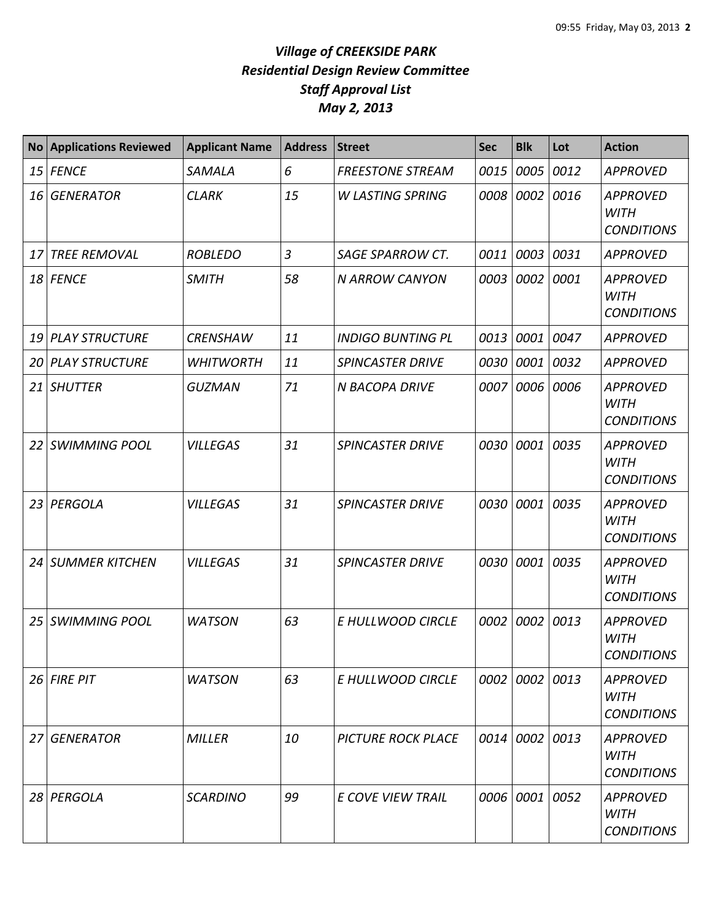| <b>No</b> | <b>Applications Reviewed</b> | <b>Applicant Name</b> | <b>Address</b> | <b>Street</b>             | <b>Sec</b> | <b>Blk</b>     | Lot  | <b>Action</b>                                       |
|-----------|------------------------------|-----------------------|----------------|---------------------------|------------|----------------|------|-----------------------------------------------------|
| 15        | <b>FENCE</b>                 | SAMALA                | 6              | <b>FREESTONE STREAM</b>   | 0015       | 0005           | 0012 | <b>APPROVED</b>                                     |
| 16        | <b>GENERATOR</b>             | <b>CLARK</b>          | 15             | <b>W LASTING SPRING</b>   | 0008       | 0002           | 0016 | <b>APPROVED</b><br><b>WITH</b><br><b>CONDITIONS</b> |
| 17        | <b>TREE REMOVAL</b>          | <b>ROBLEDO</b>        | $\overline{3}$ | <b>SAGE SPARROW CT.</b>   | 0011       | 0003           | 0031 | <b>APPROVED</b>                                     |
| 18        | <b>FENCE</b>                 | <b>SMITH</b>          | 58             | N ARROW CANYON            | 0003       | 0002           | 0001 | <b>APPROVED</b><br><b>WITH</b><br><b>CONDITIONS</b> |
| 19        | <b>PLAY STRUCTURE</b>        | <b>CRENSHAW</b>       | 11             | <b>INDIGO BUNTING PL</b>  | 0013       | 0001           | 0047 | <b>APPROVED</b>                                     |
| 20        | <b>PLAY STRUCTURE</b>        | <b>WHITWORTH</b>      | 11             | <b>SPINCASTER DRIVE</b>   | 0030       | 0001 0032      |      | <b>APPROVED</b>                                     |
| 21        | <b>SHUTTER</b>               | <b>GUZMAN</b>         | 71             | <b>N BACOPA DRIVE</b>     | 0007       | 0006 0006      |      | <b>APPROVED</b><br><b>WITH</b><br><b>CONDITIONS</b> |
| 22        | <b>SWIMMING POOL</b>         | <b>VILLEGAS</b>       | 31             | <b>SPINCASTER DRIVE</b>   | 0030       | 0001           | 0035 | <b>APPROVED</b><br><b>WITH</b><br><b>CONDITIONS</b> |
| 23        | PERGOLA                      | <b>VILLEGAS</b>       | 31             | <b>SPINCASTER DRIVE</b>   | 0030       | 0001           | 0035 | <b>APPROVED</b><br><b>WITH</b><br><b>CONDITIONS</b> |
| 24        | SUMMER KITCHEN               | <b>VILLEGAS</b>       | 31             | <b>SPINCASTER DRIVE</b>   | 0030       | 0001 0035      |      | <b>APPROVED</b><br><b>WITH</b><br><b>CONDITIONS</b> |
| 25        | <b>SWIMMING POOL</b>         | <b>WATSON</b>         | 63             | E HULLWOOD CIRCLE         | 0002       | 0002           | 0013 | <b>APPROVED</b><br><b>WITH</b><br><b>CONDITIONS</b> |
|           | $26$ FIRE PIT                | <b>WATSON</b>         | 63             | E HULLWOOD CIRCLE         |            | 0002 0002 0013 |      | <b>APPROVED</b><br><b>WITH</b><br><b>CONDITIONS</b> |
| 27        | <b>GENERATOR</b>             | <b>MILLER</b>         | 10             | <b>PICTURE ROCK PLACE</b> | 0014       | 0002 0013      |      | <b>APPROVED</b><br>WITH<br><b>CONDITIONS</b>        |
| 28        | PERGOLA                      | <b>SCARDINO</b>       | 99             | <b>E COVE VIEW TRAIL</b>  |            | 0006 0001 0052 |      | <b>APPROVED</b><br><b>WITH</b><br><b>CONDITIONS</b> |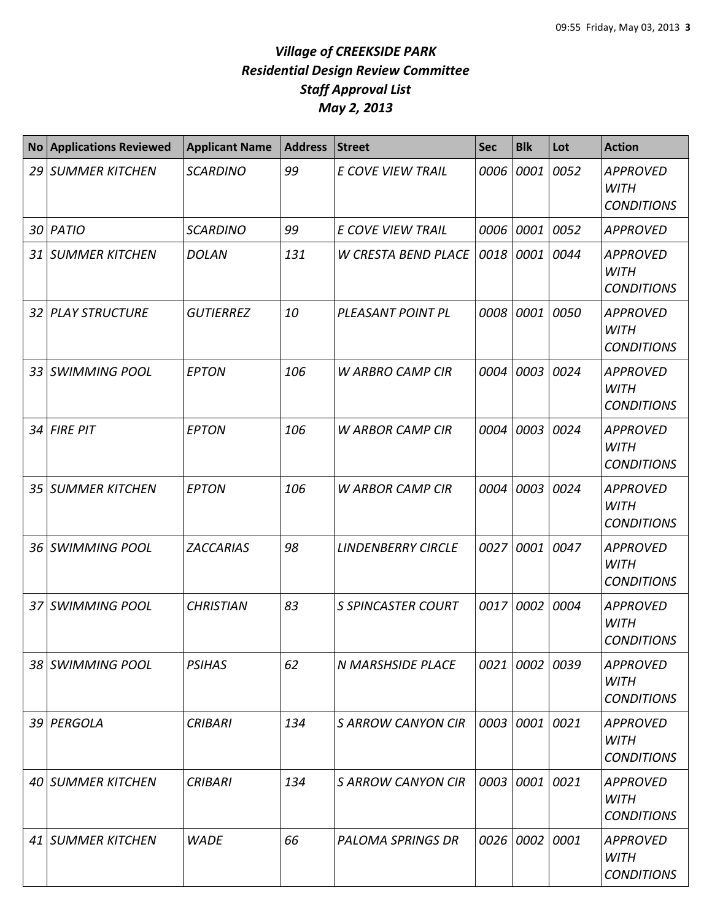| <b>No</b>       | <b>Applications Reviewed</b> | <b>Applicant Name</b> | <b>Address</b> | <b>Street</b>              | <b>Sec</b> | <b>Blk</b>     | Lot       | <b>Action</b>                                       |
|-----------------|------------------------------|-----------------------|----------------|----------------------------|------------|----------------|-----------|-----------------------------------------------------|
| 29              | <b>SUMMER KITCHEN</b>        | <b>SCARDINO</b>       | 99             | <b>E COVE VIEW TRAIL</b>   | 0006       | 0001           | 0052      | <b>APPROVED</b><br><b>WITH</b><br><b>CONDITIONS</b> |
| 30 <sup>1</sup> | PATIO                        | <b>SCARDINO</b>       | 99             | E COVE VIEW TRAIL          | 0006       | 0001 0052      |           | <b>APPROVED</b>                                     |
| 31              | <b>SUMMER KITCHEN</b>        | <b>DOLAN</b>          | 131            | <b>W CRESTA BEND PLACE</b> | 0018       | 0001 0044      |           | <b>APPROVED</b><br><b>WITH</b><br><b>CONDITIONS</b> |
| 32 I            | <b>PLAY STRUCTURE</b>        | <b>GUTIERREZ</b>      | 10             | PLEASANT POINT PL          | 0008       | 0001 0050      |           | <b>APPROVED</b><br><b>WITH</b><br><b>CONDITIONS</b> |
| 33              | <b>SWIMMING POOL</b>         | <b>EPTON</b>          | 106            | <b>W ARBRO CAMP CIR</b>    | 0004       | 0003 0024      |           | <b>APPROVED</b><br><b>WITH</b><br><b>CONDITIONS</b> |
| 34              | <b>FIRE PIT</b>              | <b>EPTON</b>          | 106            | <b>W ARBOR CAMP CIR</b>    | 0004       |                | 0003 0024 | <b>APPROVED</b><br><b>WITH</b><br><b>CONDITIONS</b> |
| 35              | <b>SUMMER KITCHEN</b>        | <b>EPTON</b>          | 106            | <b>W ARBOR CAMP CIR</b>    | 0004       | 0003           | 0024      | <b>APPROVED</b><br><b>WITH</b><br><b>CONDITIONS</b> |
| 36              | <b>SWIMMING POOL</b>         | <b>ZACCARIAS</b>      | 98             | <b>LINDENBERRY CIRCLE</b>  | 0027       |                | 0001 0047 | <b>APPROVED</b><br><b>WITH</b><br><b>CONDITIONS</b> |
|                 | 37 SWIMMING POOL             | <b>CHRISTIAN</b>      | 83             | <b>S SPINCASTER COURT</b>  | 0017       | 0002           | 0004      | <b>APPROVED</b><br><b>WITH</b><br><b>CONDITIONS</b> |
| 38 I            | <b>SWIMMING POOL</b>         | <b>PSIHAS</b>         | 62             | <b>N MARSHSIDE PLACE</b>   | 0021       | 0002 0039      |           | <b>APPROVED</b><br><b>WITH</b><br><b>CONDITIONS</b> |
|                 | 39 PERGOLA                   | <b>CRIBARI</b>        | 134            | <b>S ARROW CANYON CIR</b>  |            | 0003 0001 0021 |           | <b>APPROVED</b><br><b>WITH</b><br><b>CONDITIONS</b> |
|                 | 40 SUMMER KITCHEN            | <b>CRIBARI</b>        | 134            | <b>S ARROW CANYON CIR</b>  | 0003       | 0001 0021      |           | <b>APPROVED</b><br><b>WITH</b><br><b>CONDITIONS</b> |
|                 | 41 SUMMER KITCHEN            | <b>WADE</b>           | 66             | <b>PALOMA SPRINGS DR</b>   |            | 0026 0002 0001 |           | <b>APPROVED</b><br><b>WITH</b><br><b>CONDITIONS</b> |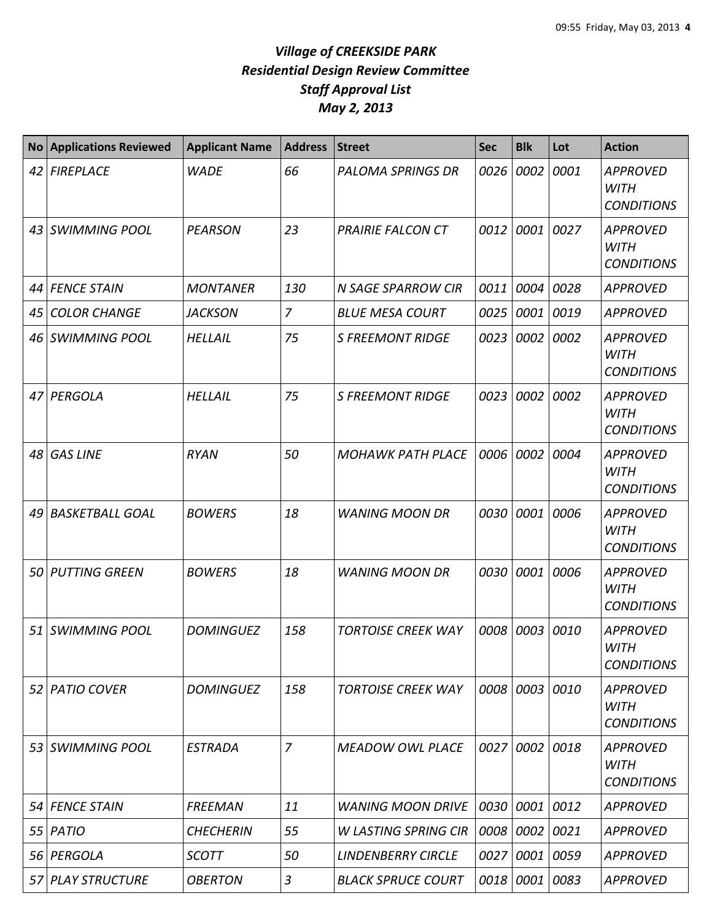| <b>No</b> | <b>Applications Reviewed</b> | <b>Applicant Name</b> | <b>Address</b> | <b>Street</b>               | <b>Sec</b> | <b>Blk</b>     | Lot       | <b>Action</b>                                       |
|-----------|------------------------------|-----------------------|----------------|-----------------------------|------------|----------------|-----------|-----------------------------------------------------|
| 42        | <b>FIREPLACE</b>             | <b>WADE</b>           | 66             | <b>PALOMA SPRINGS DR</b>    | 0026       | 0002           | 0001      | <b>APPROVED</b><br><b>WITH</b><br><b>CONDITIONS</b> |
| 43        | <b>SWIMMING POOL</b>         | <b>PEARSON</b>        | 23             | <b>PRAIRIE FALCON CT</b>    | 0012       |                | 0001 0027 | <b>APPROVED</b><br><b>WITH</b><br><b>CONDITIONS</b> |
| 44        | <b>FENCE STAIN</b>           | <b>MONTANER</b>       | 130            | N SAGE SPARROW CIR          | 0011       | 0004           | 0028      | <b>APPROVED</b>                                     |
| 45        | <b>COLOR CHANGE</b>          | <b>JACKSON</b>        | $\overline{z}$ | <b>BLUE MESA COURT</b>      | 0025       | 0001           | 0019      | <b>APPROVED</b>                                     |
| 46        | <b>SWIMMING POOL</b>         | HELLAIL               | 75             | <b>S FREEMONT RIDGE</b>     | 0023       | 0002           | 0002      | <b>APPROVED</b><br><b>WITH</b><br><b>CONDITIONS</b> |
| 47        | PERGOLA                      | <b>HELLAIL</b>        | 75             | <b>S FREEMONT RIDGE</b>     | 0023       | 0002           | 0002      | <b>APPROVED</b><br><b>WITH</b><br><b>CONDITIONS</b> |
| 48        | <b>GAS LINE</b>              | <b>RYAN</b>           | 50             | <b>MOHAWK PATH PLACE</b>    | 0006       | 0002           | 0004      | <b>APPROVED</b><br><b>WITH</b><br><b>CONDITIONS</b> |
| 49        | <b>BASKETBALL GOAL</b>       | <b>BOWERS</b>         | 18             | <b>WANING MOON DR</b>       | 0030       | 0001           | 0006      | <b>APPROVED</b><br><b>WITH</b><br><b>CONDITIONS</b> |
| 50        | <b>PUTTING GREEN</b>         | <b>BOWERS</b>         | 18             | <b>WANING MOON DR</b>       | 0030       | 0001 0006      |           | <b>APPROVED</b><br><b>WITH</b><br><b>CONDITIONS</b> |
| 51        | <b>SWIMMING POOL</b>         | <b>DOMINGUEZ</b>      | 158            | <b>TORTOISE CREEK WAY</b>   | 0008       |                | 0003 0010 | <b>APPROVED</b><br><b>WITH</b><br><b>CONDITIONS</b> |
| 52        | <b>PATIO COVER</b>           | <b>DOMINGUEZ</b>      | 158            | <b>TORTOISE CREEK WAY</b>   | 0008       | 0003 0010      |           | <b>APPROVED</b><br><b>WITH</b><br><b>CONDITIONS</b> |
|           | 53 SWIMMING POOL             | <b>ESTRADA</b>        | $\overline{7}$ | <b>MEADOW OWL PLACE</b>     | 0027       | 0002           | 0018      | <b>APPROVED</b><br><b>WITH</b><br><b>CONDITIONS</b> |
| 54        | <b>FENCE STAIN</b>           | <b>FREEMAN</b>        | 11             | <b>WANING MOON DRIVE</b>    | 0030       | 0001 0012      |           | <b>APPROVED</b>                                     |
| 55        | PATIO                        | <b>CHECHERIN</b>      | 55             | <b>W LASTING SPRING CIR</b> | 0008       | 0002 0021      |           | <b>APPROVED</b>                                     |
| 56        | PERGOLA                      | <b>SCOTT</b>          | 50             | <b>LINDENBERRY CIRCLE</b>   | 0027       | 0001 0059      |           | <b>APPROVED</b>                                     |
|           | 57 PLAY STRUCTURE            | <b>OBERTON</b>        | $\mathfrak{Z}$ | <b>BLACK SPRUCE COURT</b>   |            | 0018 0001 0083 |           | <b>APPROVED</b>                                     |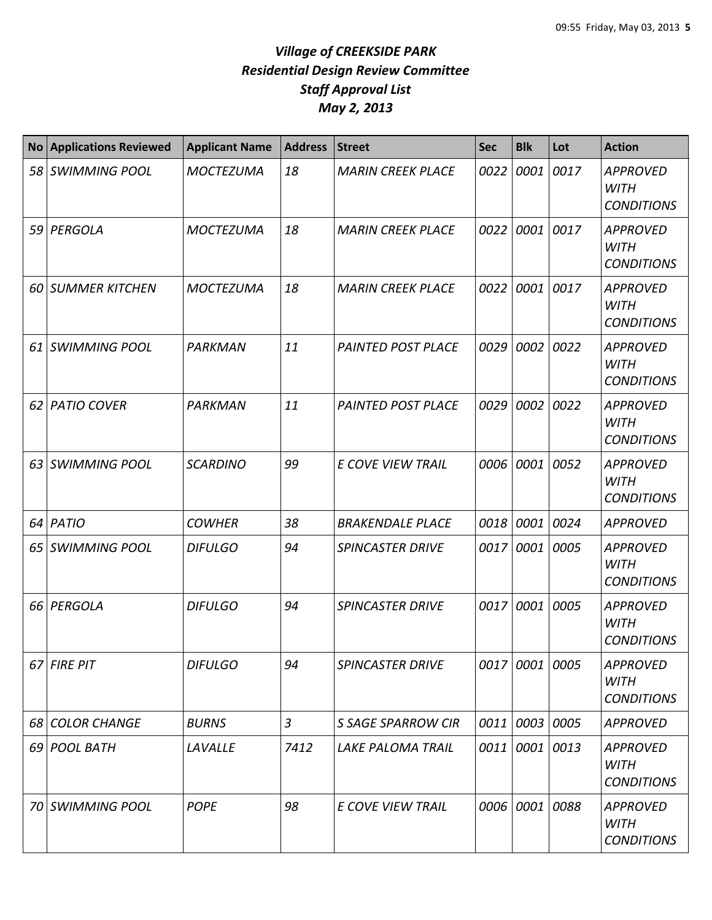| <b>No</b> | <b>Applications Reviewed</b> | <b>Applicant Name</b> | <b>Address</b> | <b>Street</b>             | <b>Sec</b> | <b>Blk</b>     | Lot  | <b>Action</b>                                       |
|-----------|------------------------------|-----------------------|----------------|---------------------------|------------|----------------|------|-----------------------------------------------------|
| 58 I      | <b>SWIMMING POOL</b>         | <b>MOCTEZUMA</b>      | 18             | <b>MARIN CREEK PLACE</b>  | 0022       | 0001           | 0017 | <b>APPROVED</b><br><b>WITH</b><br><b>CONDITIONS</b> |
|           | 59 PERGOLA                   | <b>MOCTEZUMA</b>      | 18             | <b>MARIN CREEK PLACE</b>  | 0022       | 0001           | 0017 | <b>APPROVED</b><br><b>WITH</b><br><b>CONDITIONS</b> |
|           | <b>60 SUMMER KITCHEN</b>     | <b>MOCTEZUMA</b>      | 18             | <b>MARIN CREEK PLACE</b>  | 0022       | 0001           | 0017 | <b>APPROVED</b><br><b>WITH</b><br><b>CONDITIONS</b> |
| 61        | <b>SWIMMING POOL</b>         | PARKMAN               | 11             | <b>PAINTED POST PLACE</b> | 0029       | 0002           | 0022 | <b>APPROVED</b><br><b>WITH</b><br><b>CONDITIONS</b> |
| 62        | <b>PATIO COVER</b>           | <b>PARKMAN</b>        | 11             | <b>PAINTED POST PLACE</b> | 0029       | 0002           | 0022 | <b>APPROVED</b><br><b>WITH</b><br><b>CONDITIONS</b> |
| 63        | <b>SWIMMING POOL</b>         | <b>SCARDINO</b>       | 99             | E COVE VIEW TRAIL         |            | 0006 0001      | 0052 | <b>APPROVED</b><br><b>WITH</b><br><b>CONDITIONS</b> |
| 64        | PATIO                        | <b>COWHER</b>         | 38             | <b>BRAKENDALE PLACE</b>   | 0018       | 0001           | 0024 | <b>APPROVED</b>                                     |
| 65        | <b>SWIMMING POOL</b>         | <b>DIFULGO</b>        | 94             | <b>SPINCASTER DRIVE</b>   | 0017       | 0001           | 0005 | <b>APPROVED</b><br><b>WITH</b><br><b>CONDITIONS</b> |
| 66        | PERGOLA                      | <b>DIFULGO</b>        | 94             | <b>SPINCASTER DRIVE</b>   | 0017       | 0001           | 0005 | <b>APPROVED</b><br><b>WITH</b><br><b>CONDITIONS</b> |
|           | 67 FIRE PIT                  | <b>DIFULGO</b>        | 94             | <b>SPINCASTER DRIVE</b>   |            | 0017 0001 0005 |      | <b>APPROVED</b><br><b>WITH</b><br><b>CONDITIONS</b> |
| 68        | <b>COLOR CHANGE</b>          | <b>BURNS</b>          | $\mathfrak{Z}$ | S SAGE SPARROW CIR        | 0011       | 0003           | 0005 | <b>APPROVED</b>                                     |
|           | 69 POOL BATH                 | LAVALLE               | 7412           | <b>LAKE PALOMA TRAIL</b>  | 0011       | 0001           | 0013 | <b>APPROVED</b><br><b>WITH</b><br><b>CONDITIONS</b> |
|           | 70 SWIMMING POOL             | <b>POPE</b>           | 98             | E COVE VIEW TRAIL         |            | 0006 0001      | 0088 | <b>APPROVED</b><br><b>WITH</b><br><b>CONDITIONS</b> |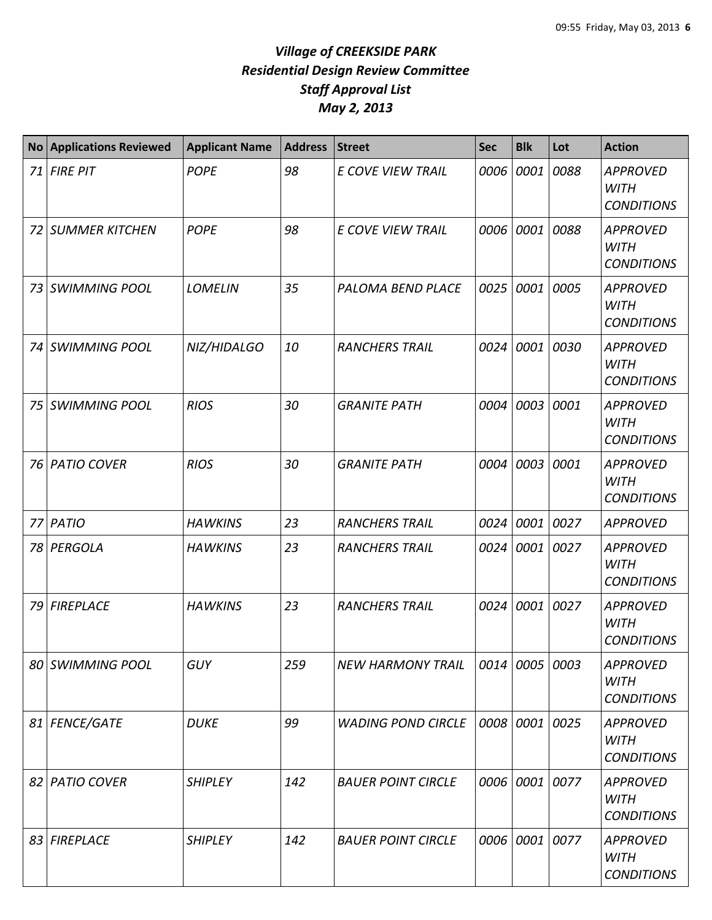| <b>No</b> | <b>Applications Reviewed</b> | <b>Applicant Name</b> | <b>Address</b> | <b>Street</b>             | <b>Sec</b> | <b>Blk</b>     | Lot       | <b>Action</b>                                       |
|-----------|------------------------------|-----------------------|----------------|---------------------------|------------|----------------|-----------|-----------------------------------------------------|
| 71        | <b>FIRE PIT</b>              | <b>POPE</b>           | 98             | E COVE VIEW TRAIL         | 0006       | 0001           | 0088      | <b>APPROVED</b><br><b>WITH</b><br><b>CONDITIONS</b> |
|           | 72 SUMMER KITCHEN            | <b>POPE</b>           | 98             | <b>E COVE VIEW TRAIL</b>  | 0006       | 0001 0088      |           | <b>APPROVED</b><br><b>WITH</b><br><b>CONDITIONS</b> |
| 73        | <b>SWIMMING POOL</b>         | <b>LOMELIN</b>        | 35             | PALOMA BEND PLACE         | 0025       | 0001           | 0005      | <b>APPROVED</b><br><b>WITH</b><br><b>CONDITIONS</b> |
| 74        | <b>SWIMMING POOL</b>         | NIZ/HIDALGO           | 10             | <b>RANCHERS TRAIL</b>     | 0024       |                | 0001 0030 | <b>APPROVED</b><br><b>WITH</b><br><b>CONDITIONS</b> |
| 75        | <b>SWIMMING POOL</b>         | <b>RIOS</b>           | 30             | <b>GRANITE PATH</b>       | 0004       | 0003 0001      |           | <b>APPROVED</b><br><b>WITH</b><br><b>CONDITIONS</b> |
| 76 I      | <b>PATIO COVER</b>           | <b>RIOS</b>           | 30             | <b>GRANITE PATH</b>       | 0004       | 0003 0001      |           | <b>APPROVED</b><br><b>WITH</b><br><b>CONDITIONS</b> |
| 77        | PATIO                        | <b>HAWKINS</b>        | 23             | <b>RANCHERS TRAIL</b>     | 0024       |                | 0001 0027 | <b>APPROVED</b>                                     |
| 78        | PERGOLA                      | <b>HAWKINS</b>        | 23             | <b>RANCHERS TRAIL</b>     | 0024       | 0001 0027      |           | <b>APPROVED</b><br><b>WITH</b><br><b>CONDITIONS</b> |
| 79 I      | <b>FIREPLACE</b>             | <b>HAWKINS</b>        | 23             | <b>RANCHERS TRAIL</b>     | 0024       |                | 0001 0027 | <b>APPROVED</b><br><b>WITH</b><br><b>CONDITIONS</b> |
|           | 80 SWIMMING POOL             | <b>GUY</b>            | 259            | <b>NEW HARMONY TRAIL</b>  |            | 0014 0005 0003 |           | <b>APPROVED</b><br><b>WITH</b><br><b>CONDITIONS</b> |
|           | 81 FENCE/GATE                | <b>DUKE</b>           | 99             | <b>WADING POND CIRCLE</b> |            | 0008 0001 0025 |           | <b>APPROVED</b><br><b>WITH</b><br><b>CONDITIONS</b> |
|           | 82 PATIO COVER               | <b>SHIPLEY</b>        | 142            | <b>BAUER POINT CIRCLE</b> |            | 0006 0001 0077 |           | <b>APPROVED</b><br><b>WITH</b><br><b>CONDITIONS</b> |
| 83        | <b>FIREPLACE</b>             | <b>SHIPLEY</b>        | 142            | <b>BAUER POINT CIRCLE</b> |            | 0006 0001 0077 |           | <b>APPROVED</b><br><b>WITH</b><br><b>CONDITIONS</b> |